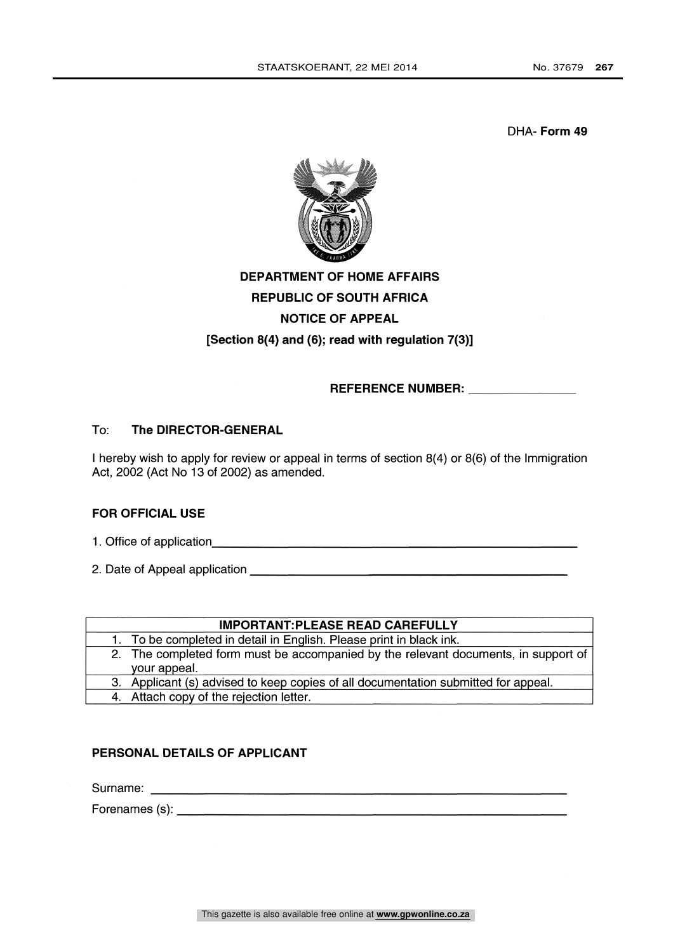DHA- Form 49



## DEPARTMENT OF HOME AFFAIRS REPUBLIC OF SOUTH AFRICA NOTICE OF APPEAL [Section 8(4) and (6); read with regulation 7(3)]

REFERENCE NUMBER:

## To: The DIRECTOR-GENERAL

I hereby wish to apply for review or appeal in terms of section 8(4) or 8(6) of the Immigration Act, 2002 (Act No 13 of 2002) as amended.

## FOR OFFICIAL USE

- 1. Office of application
- 2. Date of Appeal application

| <b>IMPORTANT:PLEASE READ CAREFULLY</b> |                                                                                                    |  |  |
|----------------------------------------|----------------------------------------------------------------------------------------------------|--|--|
|                                        | 1. To be completed in detail in English. Please print in black ink.                                |  |  |
|                                        | 2. The completed form must be accompanied by the relevant documents, in support of<br>your appeal. |  |  |
|                                        | 3. Applicant (s) advised to keep copies of all documentation submitted for appeal.                 |  |  |
|                                        | 4. Attach copy of the rejection letter.                                                            |  |  |

## PERSONAL DETAILS OF APPLICANT

Surname:

Forenames (s):